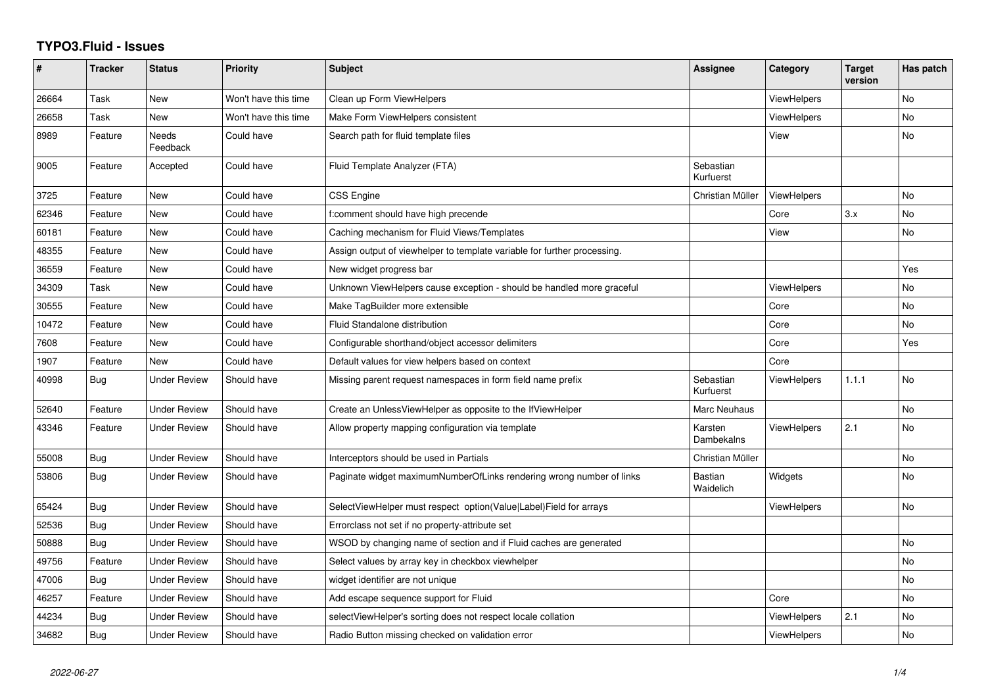## **TYPO3.Fluid - Issues**

| #     | <b>Tracker</b> | <b>Status</b>            | <b>Priority</b>      | <b>Subject</b>                                                           | Assignee                    | Category           | <b>Target</b><br>version | Has patch |
|-------|----------------|--------------------------|----------------------|--------------------------------------------------------------------------|-----------------------------|--------------------|--------------------------|-----------|
| 26664 | Task           | <b>New</b>               | Won't have this time | Clean up Form ViewHelpers                                                |                             | <b>ViewHelpers</b> |                          | <b>No</b> |
| 26658 | Task           | New                      | Won't have this time | Make Form ViewHelpers consistent                                         |                             | <b>ViewHelpers</b> |                          | <b>No</b> |
| 8989  | Feature        | <b>Needs</b><br>Feedback | Could have           | Search path for fluid template files                                     |                             | View               |                          | <b>No</b> |
| 9005  | Feature        | Accepted                 | Could have           | Fluid Template Analyzer (FTA)                                            | Sebastian<br>Kurfuerst      |                    |                          |           |
| 3725  | Feature        | <b>New</b>               | Could have           | <b>CSS Engine</b>                                                        | Christian Müller            | ViewHelpers        |                          | No        |
| 62346 | Feature        | <b>New</b>               | Could have           | f:comment should have high precende                                      |                             | Core               | 3.x                      | <b>No</b> |
| 60181 | Feature        | New                      | Could have           | Caching mechanism for Fluid Views/Templates                              |                             | View               |                          | No        |
| 48355 | Feature        | <b>New</b>               | Could have           | Assign output of viewhelper to template variable for further processing. |                             |                    |                          |           |
| 36559 | Feature        | <b>New</b>               | Could have           | New widget progress bar                                                  |                             |                    |                          | Yes       |
| 34309 | Task           | New                      | Could have           | Unknown ViewHelpers cause exception - should be handled more graceful    |                             | <b>ViewHelpers</b> |                          | No        |
| 30555 | Feature        | New                      | Could have           | Make TagBuilder more extensible                                          |                             | Core               |                          | No        |
| 10472 | Feature        | New                      | Could have           | <b>Fluid Standalone distribution</b>                                     |                             | Core               |                          | No        |
| 7608  | Feature        | New                      | Could have           | Configurable shorthand/object accessor delimiters                        |                             | Core               |                          | Yes       |
| 1907  | Feature        | New                      | Could have           | Default values for view helpers based on context                         |                             | Core               |                          |           |
| 40998 | Bug            | <b>Under Review</b>      | Should have          | Missing parent request namespaces in form field name prefix              | Sebastian<br>Kurfuerst      | <b>ViewHelpers</b> | 1.1.1                    | <b>No</b> |
| 52640 | Feature        | <b>Under Review</b>      | Should have          | Create an UnlessViewHelper as opposite to the IfViewHelper               | Marc Neuhaus                |                    |                          | <b>No</b> |
| 43346 | Feature        | <b>Under Review</b>      | Should have          | Allow property mapping configuration via template                        | Karsten<br>Dambekalns       | <b>ViewHelpers</b> | 2.1                      | No        |
| 55008 | Bug            | <b>Under Review</b>      | Should have          | Interceptors should be used in Partials                                  | Christian Müller            |                    |                          | <b>No</b> |
| 53806 | Bug            | <b>Under Review</b>      | Should have          | Paginate widget maximumNumberOfLinks rendering wrong number of links     | <b>Bastian</b><br>Waidelich | Widgets            |                          | <b>No</b> |
| 65424 | <b>Bug</b>     | <b>Under Review</b>      | Should have          | SelectViewHelper must respect option(Value Label)Field for arrays        |                             | <b>ViewHelpers</b> |                          | <b>No</b> |
| 52536 | <b>Bug</b>     | <b>Under Review</b>      | Should have          | Errorclass not set if no property-attribute set                          |                             |                    |                          |           |
| 50888 | Bug            | <b>Under Review</b>      | Should have          | WSOD by changing name of section and if Fluid caches are generated       |                             |                    |                          | <b>No</b> |
| 49756 | Feature        | <b>Under Review</b>      | Should have          | Select values by array key in checkbox viewhelper                        |                             |                    |                          | No        |
| 47006 | <b>Bug</b>     | <b>Under Review</b>      | Should have          | widget identifier are not unique                                         |                             |                    |                          | <b>No</b> |
| 46257 | Feature        | Under Review             | Should have          | Add escape sequence support for Fluid                                    |                             | Core               |                          | <b>No</b> |
| 44234 | Bug            | <b>Under Review</b>      | Should have          | selectViewHelper's sorting does not respect locale collation             |                             | ViewHelpers        | 2.1                      | <b>No</b> |
| 34682 | Bug            | <b>Under Review</b>      | Should have          | Radio Button missing checked on validation error                         |                             | <b>ViewHelpers</b> |                          | <b>No</b> |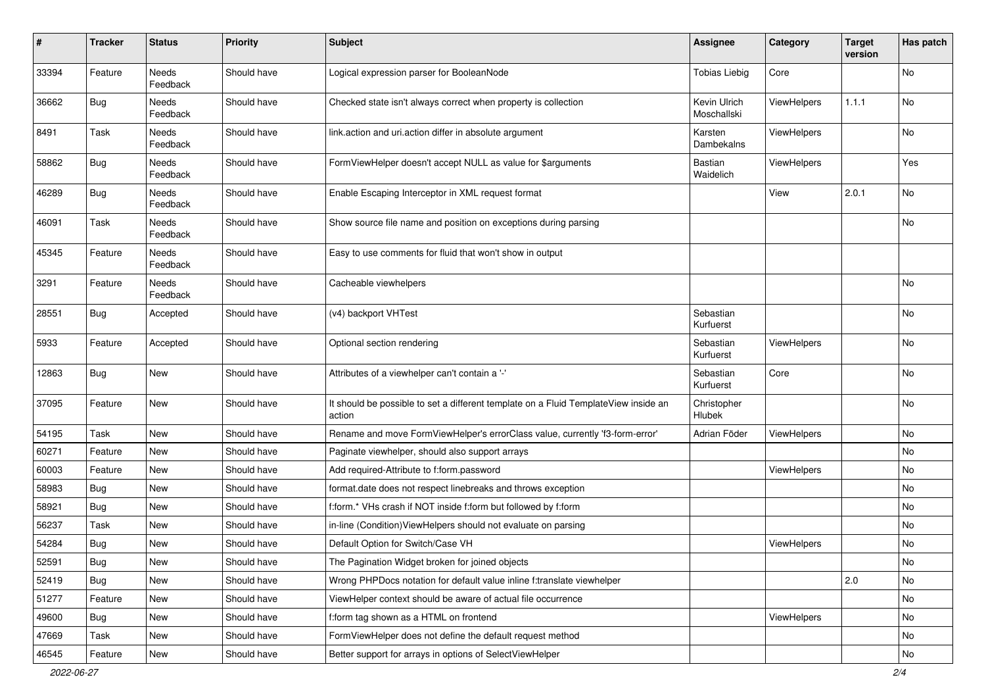| $\pmb{\#}$ | <b>Tracker</b> | <b>Status</b>     | <b>Priority</b> | <b>Subject</b>                                                                                | <b>Assignee</b>             | Category    | <b>Target</b><br>version | Has patch |
|------------|----------------|-------------------|-----------------|-----------------------------------------------------------------------------------------------|-----------------------------|-------------|--------------------------|-----------|
| 33394      | Feature        | Needs<br>Feedback | Should have     | Logical expression parser for BooleanNode                                                     | <b>Tobias Liebig</b>        | Core        |                          | No        |
| 36662      | <b>Bug</b>     | Needs<br>Feedback | Should have     | Checked state isn't always correct when property is collection                                | Kevin Ulrich<br>Moschallski | ViewHelpers | 1.1.1                    | No        |
| 8491       | Task           | Needs<br>Feedback | Should have     | link.action and uri.action differ in absolute argument                                        | Karsten<br>Dambekalns       | ViewHelpers |                          | No        |
| 58862      | <b>Bug</b>     | Needs<br>Feedback | Should have     | FormViewHelper doesn't accept NULL as value for \$arguments                                   | Bastian<br>Waidelich        | ViewHelpers |                          | Yes       |
| 46289      | Bug            | Needs<br>Feedback | Should have     | Enable Escaping Interceptor in XML request format                                             |                             | View        | 2.0.1                    | No        |
| 46091      | Task           | Needs<br>Feedback | Should have     | Show source file name and position on exceptions during parsing                               |                             |             |                          | <b>No</b> |
| 45345      | Feature        | Needs<br>Feedback | Should have     | Easy to use comments for fluid that won't show in output                                      |                             |             |                          |           |
| 3291       | Feature        | Needs<br>Feedback | Should have     | Cacheable viewhelpers                                                                         |                             |             |                          | No        |
| 28551      | Bug            | Accepted          | Should have     | (v4) backport VHTest                                                                          | Sebastian<br>Kurfuerst      |             |                          | No        |
| 5933       | Feature        | Accepted          | Should have     | Optional section rendering                                                                    | Sebastian<br>Kurfuerst      | ViewHelpers |                          | No        |
| 12863      | Bug            | New               | Should have     | Attributes of a viewhelper can't contain a '-'                                                | Sebastian<br>Kurfuerst      | Core        |                          | No        |
| 37095      | Feature        | New               | Should have     | It should be possible to set a different template on a Fluid TemplateView inside an<br>action | Christopher<br>Hlubek       |             |                          | No        |
| 54195      | Task           | New               | Should have     | Rename and move FormViewHelper's errorClass value, currently 'f3-form-error'                  | Adrian Föder                | ViewHelpers |                          | No        |
| 60271      | Feature        | New               | Should have     | Paginate viewhelper, should also support arrays                                               |                             |             |                          | No        |
| 60003      | Feature        | New               | Should have     | Add required-Attribute to f:form.password                                                     |                             | ViewHelpers |                          | No        |
| 58983      | Bug            | New               | Should have     | format.date does not respect linebreaks and throws exception                                  |                             |             |                          | No        |
| 58921      | <b>Bug</b>     | New               | Should have     | f:form.* VHs crash if NOT inside f:form but followed by f:form                                |                             |             |                          | No        |
| 56237      | Task           | New               | Should have     | in-line (Condition) ViewHelpers should not evaluate on parsing                                |                             |             |                          | No        |
| 54284      | <b>Bug</b>     | New               | Should have     | Default Option for Switch/Case VH                                                             |                             | ViewHelpers |                          | No        |
| 52591      | Bug            | New               | Should have     | The Pagination Widget broken for joined objects                                               |                             |             |                          | No        |
| 52419      | Bug            | New               | Should have     | Wrong PHPDocs notation for default value inline f:translate viewhelper                        |                             |             | 2.0                      | No        |
| 51277      | Feature        | New               | Should have     | ViewHelper context should be aware of actual file occurrence                                  |                             |             |                          | No        |
| 49600      | Bug            | New               | Should have     | f:form tag shown as a HTML on frontend                                                        |                             | ViewHelpers |                          | No        |
| 47669      | Task           | New               | Should have     | FormViewHelper does not define the default request method                                     |                             |             |                          | No        |
| 46545      | Feature        | New               | Should have     | Better support for arrays in options of SelectViewHelper                                      |                             |             |                          | No        |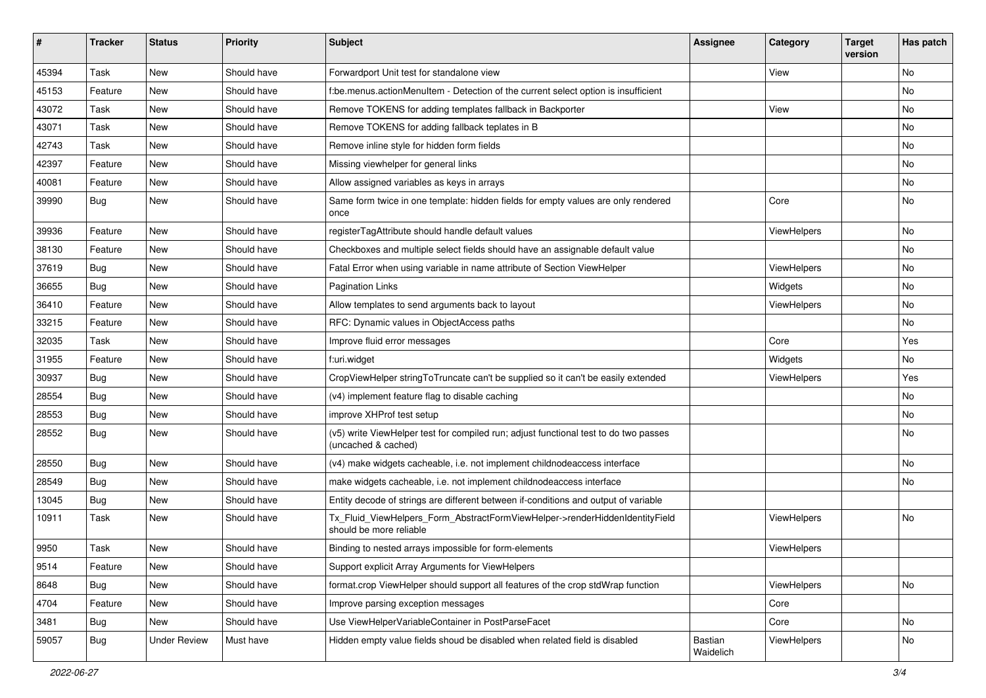| #     | <b>Tracker</b> | <b>Status</b>       | <b>Priority</b> | <b>Subject</b>                                                                                              | <b>Assignee</b>      | Category    | <b>Target</b><br>version | Has patch |
|-------|----------------|---------------------|-----------------|-------------------------------------------------------------------------------------------------------------|----------------------|-------------|--------------------------|-----------|
| 45394 | Task           | New                 | Should have     | Forwardport Unit test for standalone view                                                                   |                      | View        |                          | <b>No</b> |
| 45153 | Feature        | New                 | Should have     | f:be.menus.actionMenuItem - Detection of the current select option is insufficient                          |                      |             |                          | No        |
| 43072 | Task           | New                 | Should have     | Remove TOKENS for adding templates fallback in Backporter                                                   |                      | View        |                          | No        |
| 43071 | Task           | New                 | Should have     | Remove TOKENS for adding fallback teplates in B                                                             |                      |             |                          | No        |
| 42743 | Task           | New                 | Should have     | Remove inline style for hidden form fields                                                                  |                      |             |                          | No        |
| 42397 | Feature        | New                 | Should have     | Missing viewhelper for general links                                                                        |                      |             |                          | No        |
| 40081 | Feature        | New                 | Should have     | Allow assigned variables as keys in arrays                                                                  |                      |             |                          | No        |
| 39990 | Bug            | New                 | Should have     | Same form twice in one template: hidden fields for empty values are only rendered<br>once                   |                      | Core        |                          | No        |
| 39936 | Feature        | New                 | Should have     | registerTagAttribute should handle default values                                                           |                      | ViewHelpers |                          | No        |
| 38130 | Feature        | New                 | Should have     | Checkboxes and multiple select fields should have an assignable default value                               |                      |             |                          | No        |
| 37619 | Bug            | New                 | Should have     | Fatal Error when using variable in name attribute of Section ViewHelper                                     |                      | ViewHelpers |                          | No        |
| 36655 | Bug            | New                 | Should have     | <b>Pagination Links</b>                                                                                     |                      | Widgets     |                          | No        |
| 36410 | Feature        | New                 | Should have     | Allow templates to send arguments back to layout                                                            |                      | ViewHelpers |                          | No        |
| 33215 | Feature        | New                 | Should have     | RFC: Dynamic values in ObjectAccess paths                                                                   |                      |             |                          | No        |
| 32035 | Task           | New                 | Should have     | Improve fluid error messages                                                                                |                      | Core        |                          | Yes       |
| 31955 | Feature        | New                 | Should have     | f:uri.widget                                                                                                |                      | Widgets     |                          | No        |
| 30937 | Bug            | New                 | Should have     | CropViewHelper stringToTruncate can't be supplied so it can't be easily extended                            |                      | ViewHelpers |                          | Yes       |
| 28554 | Bug            | New                 | Should have     | (v4) implement feature flag to disable caching                                                              |                      |             |                          | <b>No</b> |
| 28553 | Bug            | New                 | Should have     | improve XHProf test setup                                                                                   |                      |             |                          | No        |
| 28552 | Bug            | New                 | Should have     | (v5) write ViewHelper test for compiled run; adjust functional test to do two passes<br>(uncached & cached) |                      |             |                          | No        |
| 28550 | Bug            | New                 | Should have     | (v4) make widgets cacheable, i.e. not implement childnodeaccess interface                                   |                      |             |                          | No        |
| 28549 | Bug            | New                 | Should have     | make widgets cacheable, i.e. not implement childnodeaccess interface                                        |                      |             |                          | No        |
| 13045 | Bug            | New                 | Should have     | Entity decode of strings are different between if-conditions and output of variable                         |                      |             |                          |           |
| 10911 | Task           | New                 | Should have     | Tx_Fluid_ViewHelpers_Form_AbstractFormViewHelper->renderHiddenIdentityField<br>should be more reliable      |                      | ViewHelpers |                          | <b>No</b> |
| 9950  | Task           | New                 | Should have     | Binding to nested arrays impossible for form-elements                                                       |                      | ViewHelpers |                          |           |
| 9514  | Feature        | New                 | Should have     | Support explicit Array Arguments for ViewHelpers                                                            |                      |             |                          |           |
| 8648  | <b>Bug</b>     | New                 | Should have     | format.crop ViewHelper should support all features of the crop stdWrap function                             |                      | ViewHelpers |                          | No        |
| 4704  | Feature        | New                 | Should have     | Improve parsing exception messages                                                                          |                      | Core        |                          |           |
| 3481  | Bug            | New                 | Should have     | Use ViewHelperVariableContainer in PostParseFacet                                                           |                      | Core        |                          | No        |
| 59057 | Bug            | <b>Under Review</b> | Must have       | Hidden empty value fields shoud be disabled when related field is disabled                                  | Bastian<br>Waidelich | ViewHelpers |                          | No        |